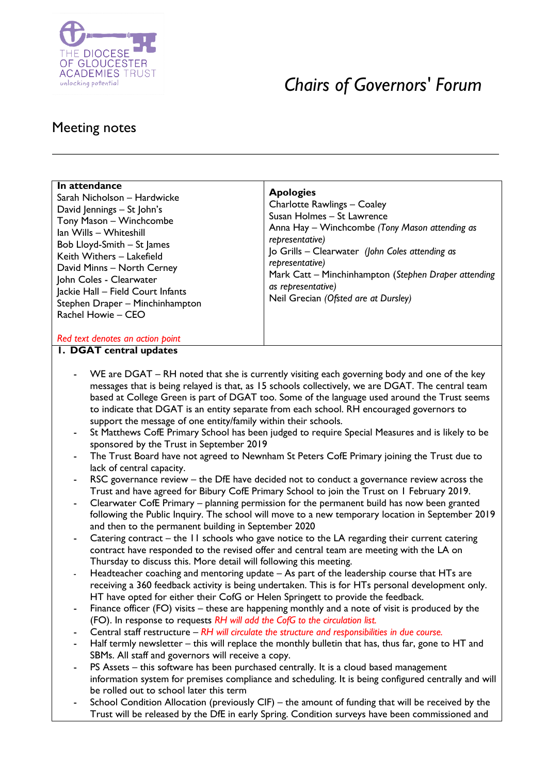

# *Chairs of Governors' Forum*

## Meeting notes

| In attendance<br>Sarah Nicholson – Hardwicke<br>David Jennings - St John's<br>Tony Mason - Winchcombe<br>Ian Wills - Whiteshill<br>Bob Lloyd-Smith - St James<br>Keith Withers - Lakefield<br>David Minns - North Cerney<br>John Coles - Clearwater<br>Jackie Hall - Field Court Infants<br>Stephen Draper - Minchinhampton<br>Rachel Howie - CEO | <b>Apologies</b><br>Charlotte Rawlings - Coaley<br>Susan Holmes - St Lawrence<br>Anna Hay - Winchcombe (Tony Mason attending as<br>representative)<br>Jo Grills - Clearwater (John Coles attending as<br>representative)<br>Mark Catt – Minchinhampton (Stephen Draper attending<br>as representative)<br>Neil Grecian (Ofsted are at Dursley) |
|---------------------------------------------------------------------------------------------------------------------------------------------------------------------------------------------------------------------------------------------------------------------------------------------------------------------------------------------------|------------------------------------------------------------------------------------------------------------------------------------------------------------------------------------------------------------------------------------------------------------------------------------------------------------------------------------------------|
| Red text denotes an action point                                                                                                                                                                                                                                                                                                                  |                                                                                                                                                                                                                                                                                                                                                |

#### **1. DGAT central updates**

- WE are DGAT RH noted that she is currently visiting each governing body and one of the key messages that is being relayed is that, as 15 schools collectively, we are DGAT. The central team based at College Green is part of DGAT too. Some of the language used around the Trust seems to indicate that DGAT is an entity separate from each school. RH encouraged governors to support the message of one entity/family within their schools.
- St Matthews CofE Primary School has been judged to require Special Measures and is likely to be sponsored by the Trust in September 2019
- The Trust Board have not agreed to Newnham St Peters CofE Primary joining the Trust due to lack of central capacity.
- RSC governance review the DfE have decided not to conduct a governance review across the Trust and have agreed for Bibury CofE Primary School to join the Trust on 1 February 2019.
- Clearwater CofE Primary planning permission for the permanent build has now been granted following the Public Inquiry. The school will move to a new temporary location in September 2019 and then to the permanent building in September 2020
- Catering contract the  $11$  schools who gave notice to the LA regarding their current catering contract have responded to the revised offer and central team are meeting with the LA on Thursday to discuss this. More detail will following this meeting.
- Headteacher coaching and mentoring update As part of the leadership course that HTs are receiving a 360 feedback activity is being undertaken. This is for HTs personal development only. HT have opted for either their CofG or Helen Springett to provide the feedback.
- Finance officer (FO) visits these are happening monthly and a note of visit is produced by the (FO). In response to requests *RH will add the CofG to the circulation list.*
- Central staff restructure *RH will circulate the structure and responsibilities in due course.*
- Half termly newsletter this will replace the monthly bulletin that has, thus far, gone to HT and SBMs. All staff and governors will receive a copy.
- PS Assets this software has been purchased centrally. It is a cloud based management information system for premises compliance and scheduling. It is being configured centrally and will be rolled out to school later this term
- School Condition Allocation (previously CIF) the amount of funding that will be received by the Trust will be released by the DfE in early Spring. Condition surveys have been commissioned and